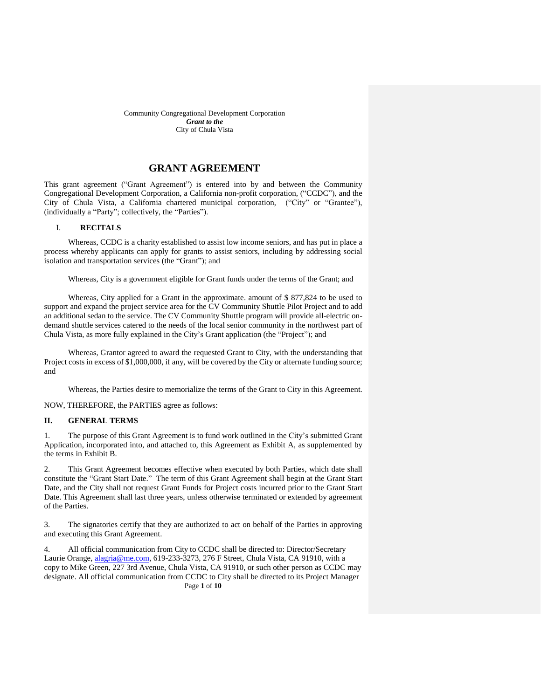# **GRANT AGREEMENT**

This grant agreement ("Grant Agreement") is entered into by and between the Community Congregational Development Corporation, a California non-profit corporation, ("CCDC"), and the City of Chula Vista, a California chartered municipal corporation, ("City" or "Grantee"), (individually a "Party"; collectively, the "Parties").

## I. **RECITALS**

Whereas, CCDC is a charity established to assist low income seniors, and has put in place a process whereby applicants can apply for grants to assist seniors, including by addressing social isolation and transportation services (the "Grant"); and

Whereas, City is a government eligible for Grant funds under the terms of the Grant; and

Whereas, City applied for a Grant in the approximate. amount of \$ 877,824 to be used to support and expand the project service area for the CV Community Shuttle Pilot Project and to add an additional sedan to the service. The CV Community Shuttle program will provide all-electric ondemand shuttle services catered to the needs of the local senior community in the northwest part of Chula Vista, as more fully explained in the City's Grant application (the "Project"); and

Whereas, Grantor agreed to award the requested Grant to City, with the understanding that Project costs in excess of \$1,000,000, if any, will be covered by the City or alternate funding source; and

Whereas, the Parties desire to memorialize the terms of the Grant to City in this Agreement.

NOW, THEREFORE, the PARTIES agree as follows:

#### **II. GENERAL TERMS**

1. The purpose of this Grant Agreement is to fund work outlined in the City's submitted Grant Application, incorporated into, and attached to, this Agreement as Exhibit A, as supplemented by the terms in Exhibit B.

2. This Grant Agreement becomes effective when executed by both Parties, which date shall constitute the "Grant Start Date." The term of this Grant Agreement shall begin at the Grant Start Date, and the City shall not request Grant Funds for Project costs incurred prior to the Grant Start Date. This Agreement shall last three years, unless otherwise terminated or extended by agreement of the Parties.

3. The signatories certify that they are authorized to act on behalf of the Parties in approving and executing this Grant Agreement.

Page **1** of **10** 4. All official communication from City to CCDC shall be directed to: Director/Secretary Laurie Orange, *alagria@me.com*, 619-233-3273, 276 F Street, Chula Vista, CA 91910, with a copy to Mike Green, 227 3rd Avenue, Chula Vista, CA 91910, or such other person as CCDC may designate. All official communication from CCDC to City shall be directed to its Project Manager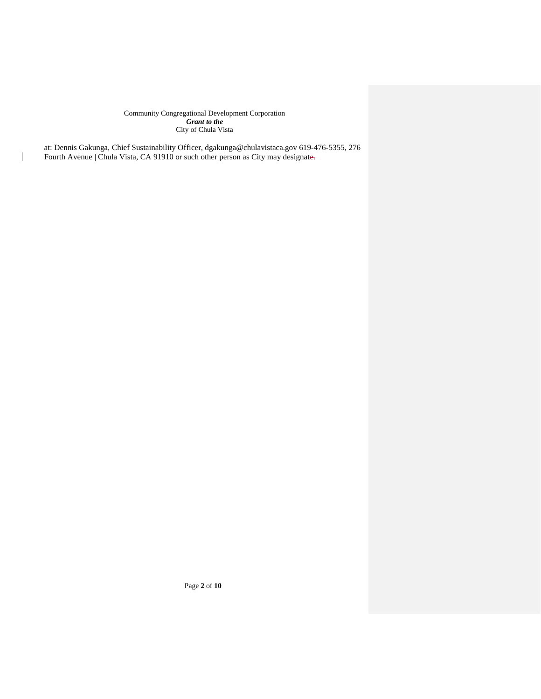at: Dennis Gakunga, Chief Sustainability Officer, dgakunga@chulavistaca.gov 619-476-5355, 276 Fourth Avenue | Chula Vista, CA 91910 or such other person as City may designate.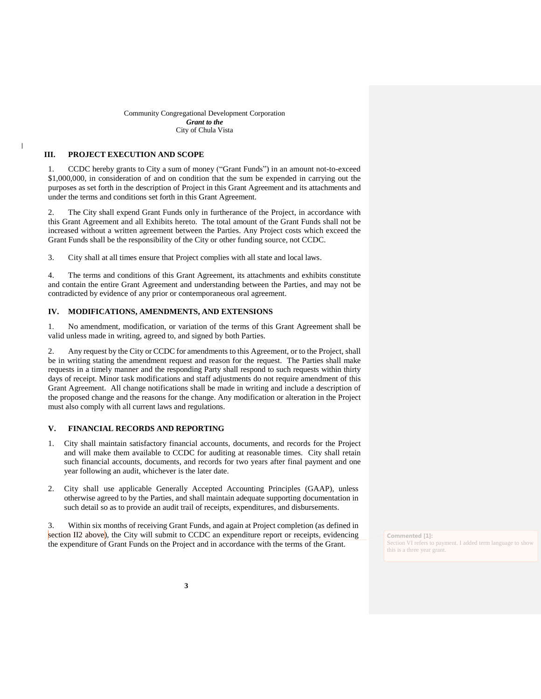## **III. PROJECT EXECUTION AND SCOPE**

1. CCDC hereby grants to City a sum of money ("Grant Funds") in an amount not-to-exceed \$1,000,000, in consideration of and on condition that the sum be expended in carrying out the purposes as set forth in the description of Project in this Grant Agreement and its attachments and under the terms and conditions set forth in this Grant Agreement.

2. The City shall expend Grant Funds only in furtherance of the Project, in accordance with this Grant Agreement and all Exhibits hereto. The total amount of the Grant Funds shall not be increased without a written agreement between the Parties. Any Project costs which exceed the Grant Funds shall be the responsibility of the City or other funding source, not CCDC.

3. City shall at all times ensure that Project complies with all state and local laws.

4. The terms and conditions of this Grant Agreement, its attachments and exhibits constitute and contain the entire Grant Agreement and understanding between the Parties, and may not be contradicted by evidence of any prior or contemporaneous oral agreement.

## **IV. MODIFICATIONS, AMENDMENTS, AND EXTENSIONS**

1. No amendment, modification, or variation of the terms of this Grant Agreement shall be valid unless made in writing, agreed to, and signed by both Parties.

2. Any request by the City or CCDC for amendments to this Agreement, or to the Project, shall be in writing stating the amendment request and reason for the request. The Parties shall make requests in a timely manner and the responding Party shall respond to such requests within thirty days of receipt. Minor task modifications and staff adjustments do not require amendment of this Grant Agreement. All change notifications shall be made in writing and include a description of the proposed change and the reasons for the change. Any modification or alteration in the Project must also comply with all current laws and regulations.

### **V. FINANCIAL RECORDS AND REPORTING**

- 1. City shall maintain satisfactory financial accounts, documents, and records for the Project and will make them available to CCDC for auditing at reasonable times. City shall retain such financial accounts, documents, and records for two years after final payment and one year following an audit, whichever is the later date.
- 2. City shall use applicable Generally Accepted Accounting Principles (GAAP), unless otherwise agreed to by the Parties, and shall maintain adequate supporting documentation in such detail so as to provide an audit trail of receipts, expenditures, and disbursements.

3. Within six months of receiving Grant Funds, and again at Project completion (as defined in section II2 above), the City will submit to CCDC an expenditure report or receipts, evidencing the expenditure of Grant Funds on the Project and in accordance with the terms of the Grant.

**Commented [1]:**  Section VI refers to payment. I added term language to show this is a three year grant.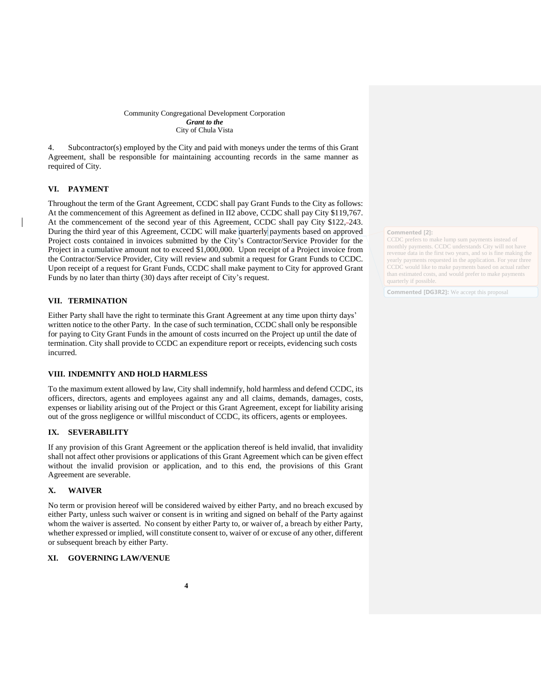4. Subcontractor(s) employed by the City and paid with moneys under the terms of this Grant Agreement, shall be responsible for maintaining accounting records in the same manner as required of City.

## **VI. PAYMENT**

Throughout the term of the Grant Agreement, CCDC shall pay Grant Funds to the City as follows: At the commencement of this Agreement as defined in II2 above, CCDC shall pay City \$119,767. At the commencement of the second year of this Agreement, CCDC shall pay City \$122, 243. During the third year of this Agreement, CCDC will make quarterly payments based on approved Project costs contained in invoices submitted by the City's Contractor/Service Provider for the Project in a cumulative amount not to exceed \$1,000,000. Upon receipt of a Project invoice from the Contractor/Service Provider, City will review and submit a request for Grant Funds to CCDC. Upon receipt of a request for Grant Funds, CCDC shall make payment to City for approved Grant Funds by no later than thirty (30) days after receipt of City's request.

## **VII. TERMINATION**

Either Party shall have the right to terminate this Grant Agreement at any time upon thirty days' written notice to the other Party. In the case of such termination, CCDC shall only be responsible for paying to City Grant Funds in the amount of costs incurred on the Project up until the date of termination. City shall provide to CCDC an expenditure report or receipts, evidencing such costs incurred.

### **VIII. INDEMNITY AND HOLD HARMLESS**

To the maximum extent allowed by law, City shall indemnify, hold harmless and defend CCDC, its officers, directors, agents and employees against any and all claims, demands, damages, costs, expenses or liability arising out of the Project or this Grant Agreement, except for liability arising out of the gross negligence or willful misconduct of CCDC, its officers, agents or employees.

## **IX. SEVERABILITY**

If any provision of this Grant Agreement or the application thereof is held invalid, that invalidity shall not affect other provisions or applications of this Grant Agreement which can be given effect without the invalid provision or application, and to this end, the provisions of this Grant Agreement are severable.

## **X. WAIVER**

No term or provision hereof will be considered waived by either Party, and no breach excused by either Party, unless such waiver or consent is in writing and signed on behalf of the Party against whom the waiver is asserted. No consent by either Party to, or waiver of, a breach by either Party, whether expressed or implied, will constitute consent to, waiver of or excuse of any other, different or subsequent breach by either Party.

## **XI. GOVERNING LAW/VENUE**

#### **Commented [2]:**

CCDC prefers to make lump sum payments instead of monthly payments. CCDC understands City will not have revenue data in the first two years, and so is fine making the yearly payments requested in the application. For year three CCDC would like to make payments based on actual rather than estimated costs, and would prefer to make payments quarterly if possible.

**Commented [DG3R2]:** We accept this proposal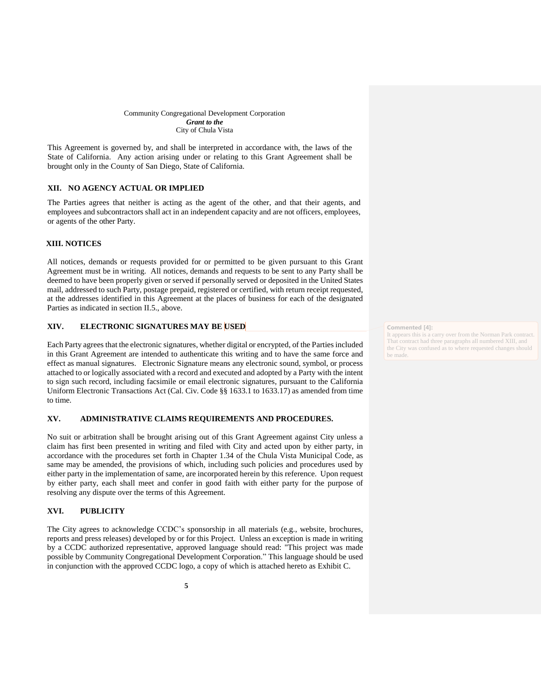This Agreement is governed by, and shall be interpreted in accordance with, the laws of the State of California. Any action arising under or relating to this Grant Agreement shall be brought only in the County of San Diego, State of California.

## **XII. NO AGENCY ACTUAL OR IMPLIED**

The Parties agrees that neither is acting as the agent of the other, and that their agents, and employees and subcontractors shall act in an independent capacity and are not officers, employees, or agents of the other Party.

## **XIII. NOTICES**

All notices, demands or requests provided for or permitted to be given pursuant to this Grant Agreement must be in writing. All notices, demands and requests to be sent to any Party shall be deemed to have been properly given or served if personally served or deposited in the United States mail, addressed to such Party, postage prepaid, registered or certified, with return receipt requested, at the addresses identified in this Agreement at the places of business for each of the designated Parties as indicated in section II.5., above.

## **XIV. ELECTRONIC SIGNATURES MAY BE USED**

Each Party agrees that the electronic signatures, whether digital or encrypted, of the Parties included in this Grant Agreement are intended to authenticate this writing and to have the same force and effect as manual signatures. Electronic Signature means any electronic sound, symbol, or process attached to or logically associated with a record and executed and adopted by a Party with the intent to sign such record, including facsimile or email electronic signatures, pursuant to the California Uniform Electronic Transactions Act (Cal. Civ. Code §§ 1633.1 to 1633.17) as amended from time to time.

#### **XV. ADMINISTRATIVE CLAIMS REQUIREMENTS AND PROCEDURES.**

No suit or arbitration shall be brought arising out of this Grant Agreement against City unless a claim has first been presented in writing and filed with City and acted upon by either party, in accordance with the procedures set forth in Chapter 1.34 of the Chula Vista Municipal Code, as same may be amended, the provisions of which, including such policies and procedures used by either party in the implementation of same, are incorporated herein by this reference. Upon request by either party, each shall meet and confer in good faith with either party for the purpose of resolving any dispute over the terms of this Agreement.

## **XVI. PUBLICITY**

The City agrees to acknowledge CCDC's sponsorship in all materials (e.g., website, brochures, reports and press releases) developed by or for this Project. Unless an exception is made in writing by a CCDC authorized representative, approved language should read: "This project was made possible by Community Congregational Development Corporation." This language should be used in conjunction with the approved CCDC logo, a copy of which is attached hereto as Exhibit C.

**Commented [4]:** 

It appears this is a carry over from the Norman Park contract That contract had three paragraphs all numbered XIII, and the City was confused as to where requested changes should be made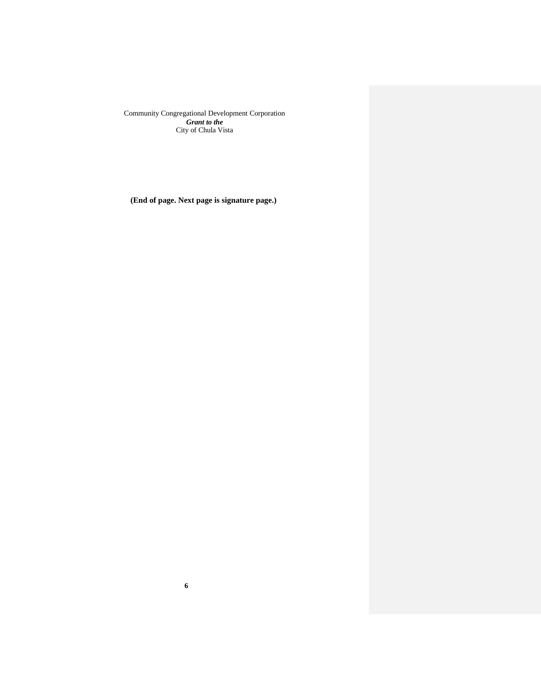**(End of page. Next page is signature page.)**

**6**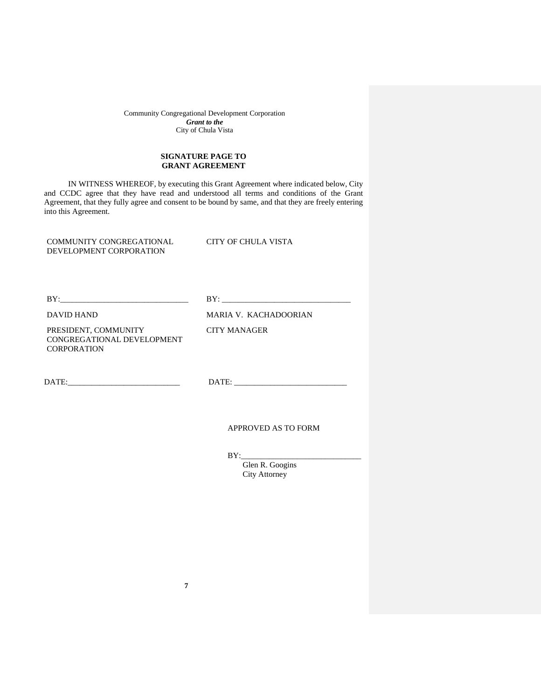## **SIGNATURE PAGE TO GRANT AGREEMENT**

IN WITNESS WHEREOF, by executing this Grant Agreement where indicated below, City and CCDC agree that they have read and understood all terms and conditions of the Grant Agreement, that they fully agree and consent to be bound by same, and that they are freely entering into this Agreement.

COMMUNITY CONGREGATIONAL DEVELOPMENT CORPORATION

CITY OF CHULA VISTA

BY:\_\_\_\_\_\_\_\_\_\_\_\_\_\_\_\_\_\_\_\_\_\_\_\_\_\_\_\_\_\_\_\_ BY: \_\_\_\_\_\_\_\_\_\_\_\_\_\_\_\_\_\_\_\_\_\_\_\_\_\_\_\_\_\_\_\_

DAVID HAND MARIA V. KACHADOORIAN

CITY MANAGER

PRESIDENT, COMMUNITY CONGREGATIONAL DEVELOPMENT **CORPORATION** 

DATE:\_\_\_\_\_\_\_\_\_\_\_\_\_\_\_\_\_\_\_\_\_\_\_\_\_\_\_\_ DATE: \_\_\_\_\_\_\_\_\_\_\_\_\_\_\_\_\_\_\_\_\_\_\_\_\_\_\_\_

APPROVED AS TO FORM

 $BY:$ 

 Glen R. Googins City Attorney

**7**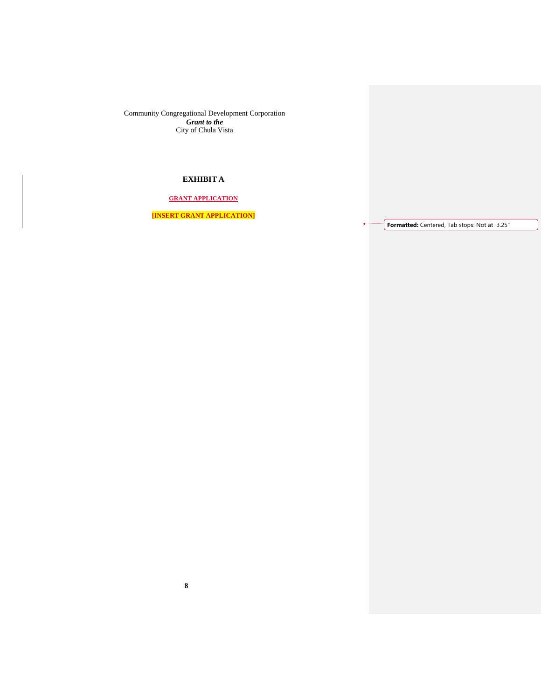# **EXHIBIT A**

**GRANT APPLICATION**

**[INSERT GRANT APPLICATION]**

**Formatted:** Centered, Tab stops: Not at 3.25"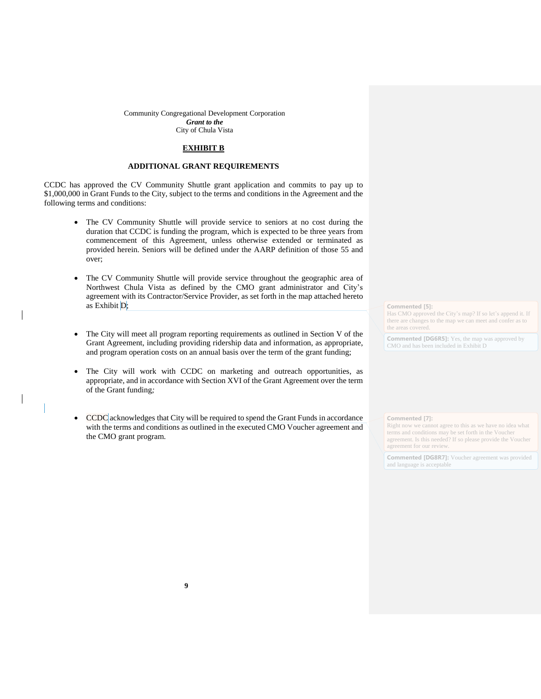### **EXHIBIT B**

## **ADDITIONAL GRANT REQUIREMENTS**

CCDC has approved the CV Community Shuttle grant application and commits to pay up to \$1,000,000 in Grant Funds to the City, subject to the terms and conditions in the Agreement and the following terms and conditions:

- The CV Community Shuttle will provide service to seniors at no cost during the duration that CCDC is funding the program, which is expected to be three years from commencement of this Agreement, unless otherwise extended or terminated as provided herein. Seniors will be defined under the AARP definition of those 55 and over;
- The CV Community Shuttle will provide service throughout the geographic area of Northwest Chula Vista as defined by the CMO grant administrator and City's agreement with its Contractor/Service Provider, as set forth in the map attached hereto as Exhibit D;
- The City will meet all program reporting requirements as outlined in Section V of the Grant Agreement, including providing ridership data and information, as appropriate, and program operation costs on an annual basis over the term of the grant funding;
- The City will work with CCDC on marketing and outreach opportunities, as appropriate, and in accordance with Section XVI of the Grant Agreement over the term of the Grant funding*;*
- CCDC acknowledges that City will be required to spend the Grant Funds in accordance with the terms and conditions as outlined in the executed CMO Voucher agreement and the CMO grant program.

**Commented [5]:** 

Has CMO approved the City's map? If so let's append it. If there are changes to the map we can meet and confer as to the areas covered.

**Commented [DG6R5]:** Yes, the map was approved by CMO and has been included in Exhibit D

### **Commented [7]:**

Right now we cannot agree to this as we have no idea what terms and conditions may be set forth in the Voucher agreement. Is this needed? If so please provide the Voucher agreement for our review.

**Commented [DG8R7]:** Voucher agreement was provided and language is acceptable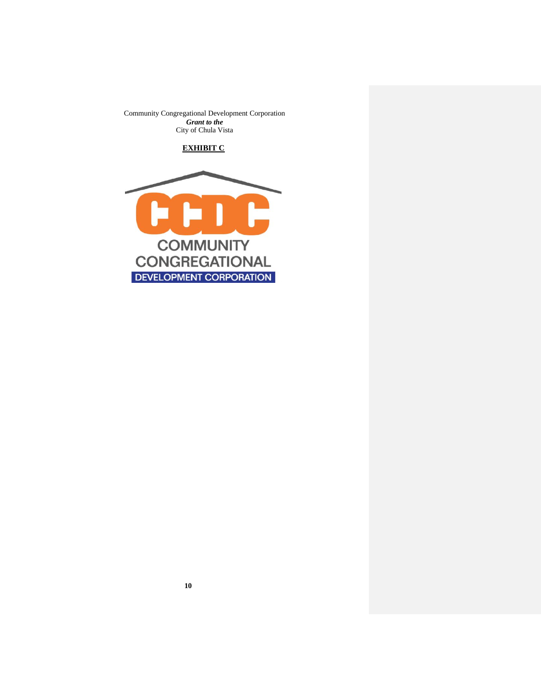# **EXHIBIT C**